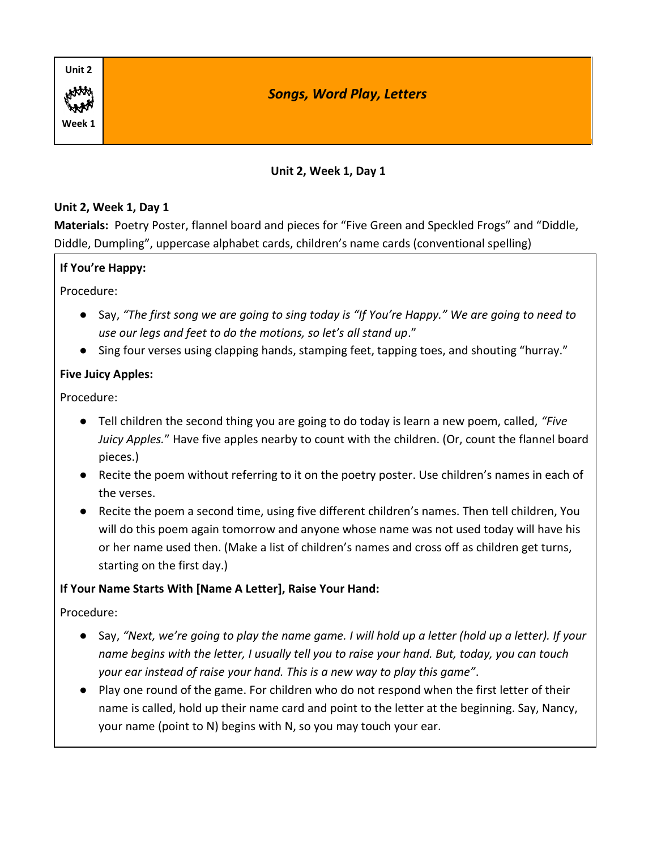| Unit 2 |                                  |
|--------|----------------------------------|
| HAM    | <b>Songs, Word Play, Letters</b> |
| Week 1 |                                  |

# **Unit 2, Week 1, Day 1**

#### **Unit 2, Week 1, Day 1**

**Materials:** Poetry Poster, flannel board and pieces for "Five Green and Speckled Frogs" and "Diddle, Diddle, Dumpling", uppercase alphabet cards, children's name cards (conventional spelling)

# **If You're Happy:**

Procedure:

- Say, *"The first song we are going to sing today is "If You're Happy." We are going to need to use our legs and feet to do the motions, so let's all stand up*."
- Sing four verses using clapping hands, stamping feet, tapping toes, and shouting "hurray."

# **Five Juicy Apples:**

Procedure:

- Tell children the second thing you are going to do today is learn a new poem, called, *"Five Juicy Apples.*" Have five apples nearby to count with the children. (Or, count the flannel board pieces.)
- Recite the poem without referring to it on the poetry poster. Use children's names in each of the verses.
- Recite the poem a second time, using five different children's names. Then tell children, You will do this poem again tomorrow and anyone whose name was not used today will have his or her name used then. (Make a list of children's names and cross off as children get turns, starting on the first day.)

#### **If Your Name Starts With [Name A Letter], Raise Your Hand:**

- Say, *"Next, we're going to play the name game. I will hold up a letter (hold up a letter). If your name begins with the letter, I usually tell you to raise your hand. But, today, you can touch your ear instead of raise your hand. This is a new way to play this game"*.
- Play one round of the game. For children who do not respond when the first letter of their name is called, hold up their name card and point to the letter at the beginning. Say, Nancy, your name (point to N) begins with N, so you may touch your ear.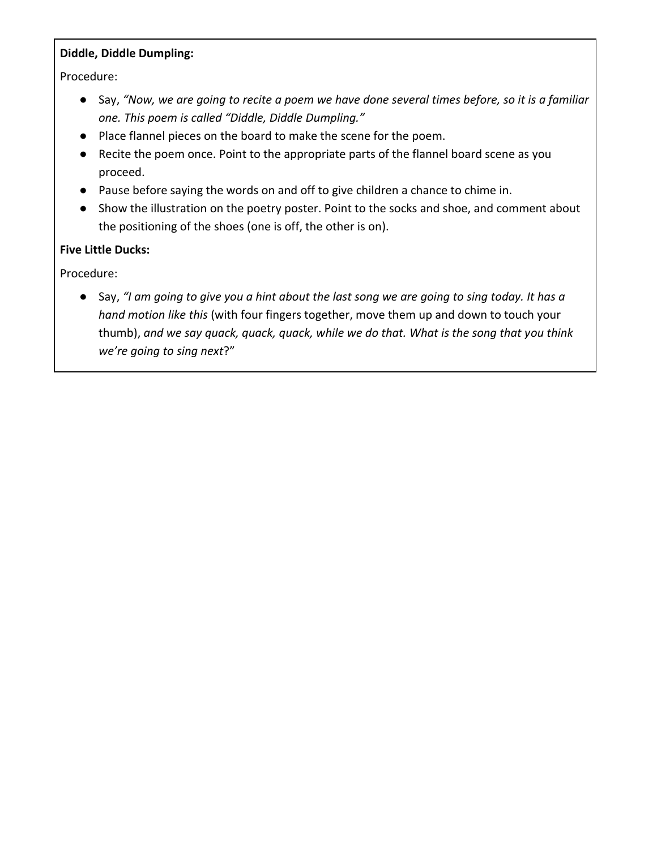### **Diddle, Diddle Dumpling:**

Procedure:

- Say, *"Now, we are going to recite a poem we have done several times before, so it is a familiar one. This poem is called "Diddle, Diddle Dumpling."*
- Place flannel pieces on the board to make the scene for the poem.
- Recite the poem once. Point to the appropriate parts of the flannel board scene as you proceed.
- Pause before saying the words on and off to give children a chance to chime in.
- Show the illustration on the poetry poster. Point to the socks and shoe, and comment about the positioning of the shoes (one is off, the other is on).

# **Five Little Ducks:**

Procedure:

● Say, *"I am going to give you a hint about the last song we are going to sing today. It has a hand motion like this* (with four fingers together, move them up and down to touch your thumb), *and we say quack, quack, quack, while we do that. What is the song that you think we're going to sing next*?"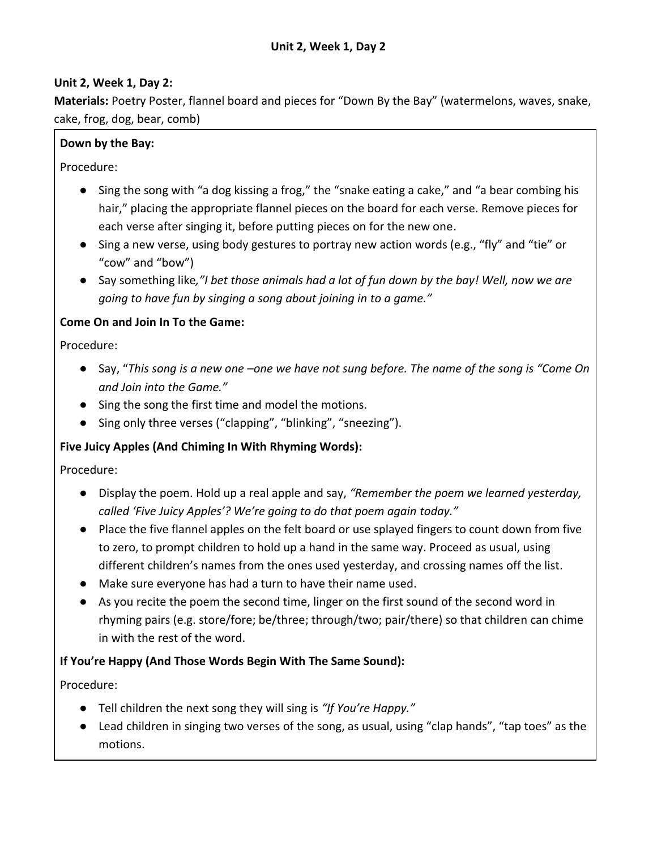### **Unit 2, Week 1, Day 2:**

**Materials:** Poetry Poster, flannel board and pieces for "Down By the Bay" (watermelons, waves, snake, cake, frog, dog, bear, comb)

# **Down by the Bay:**

Procedure:

- Sing the song with "a dog kissing a frog," the "snake eating a cake," and "a bear combing his hair," placing the appropriate flannel pieces on the board for each verse. Remove pieces for each verse after singing it, before putting pieces on for the new one.
- Sing a new verse, using body gestures to portray new action words (e.g., "fly" and "tie" or "cow" and "bow")
- Say something like*,"I bet those animals had a lot of fun down by the bay! Well, now we are going to have fun by singing a song about joining in to a game."*

### **Come On and Join In To the Game:**

Procedure:

- Say, "*This song is a new one –one we have not sung before. The name of the song is "Come On and Join into the Game."*
- Sing the song the first time and model the motions.
- Sing only three verses ("clapping", "blinking", "sneezing").

# **Five Juicy Apples (And Chiming In With Rhyming Words):**

Procedure:

- Display the poem. Hold up a real apple and say, *"Remember the poem we learned yesterday, called 'Five Juicy Apples'? We're going to do that poem again today."*
- Place the five flannel apples on the felt board or use splayed fingers to count down from five to zero, to prompt children to hold up a hand in the same way. Proceed as usual, using different children's names from the ones used yesterday, and crossing names off the list.
- Make sure everyone has had a turn to have their name used.
- As you recite the poem the second time, linger on the first sound of the second word in rhyming pairs (e.g. store/fore; be/three; through/two; pair/there) so that children can chime in with the rest of the word.

#### **If You're Happy (And Those Words Begin With The Same Sound):**

- Tell children the next song they will sing is *"If You're Happy."*
- Lead children in singing two verses of the song, as usual, using "clap hands", "tap toes" as the motions.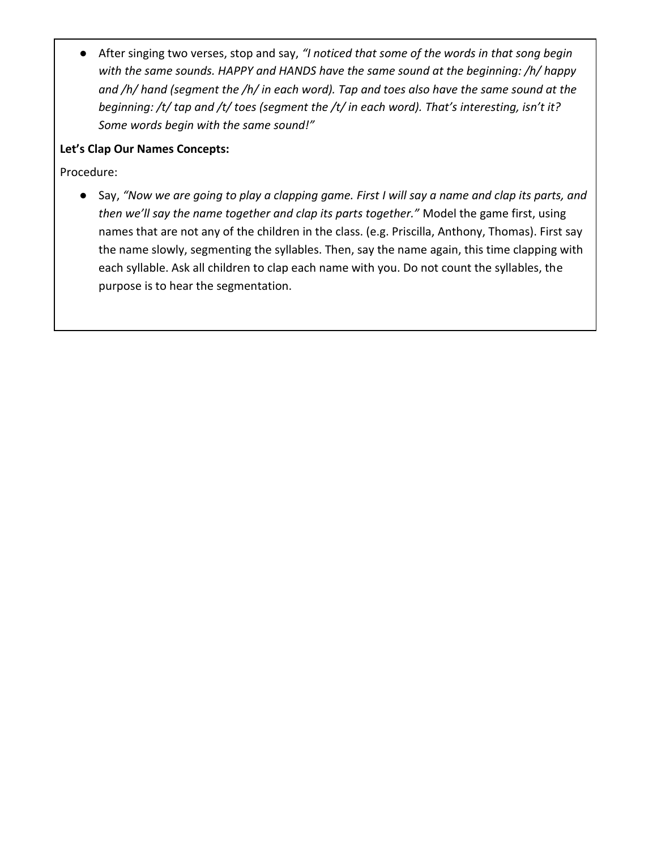● After singing two verses, stop and say, *"I noticed that some of the words in that song begin with the same sounds. HAPPY and HANDS have the same sound at the beginning: /h/ happy and /h/ hand (segment the /h/ in each word). Tap and toes also have the same sound at the beginning: /t/ tap and /t/ toes (segment the /t/ in each word). That's interesting, isn't it? Some words begin with the same sound!"* 

### **Let's Clap Our Names Concepts:**

Procedure:

● Say, *"Now we are going to play a clapping game. First I will say a name and clap its parts, and then we'll say the name together and clap its parts together."* Model the game first, using names that are not any of the children in the class. (e.g. Priscilla, Anthony, Thomas). First say the name slowly, segmenting the syllables. Then, say the name again, this time clapping with each syllable. Ask all children to clap each name with you. Do not count the syllables, the purpose is to hear the segmentation.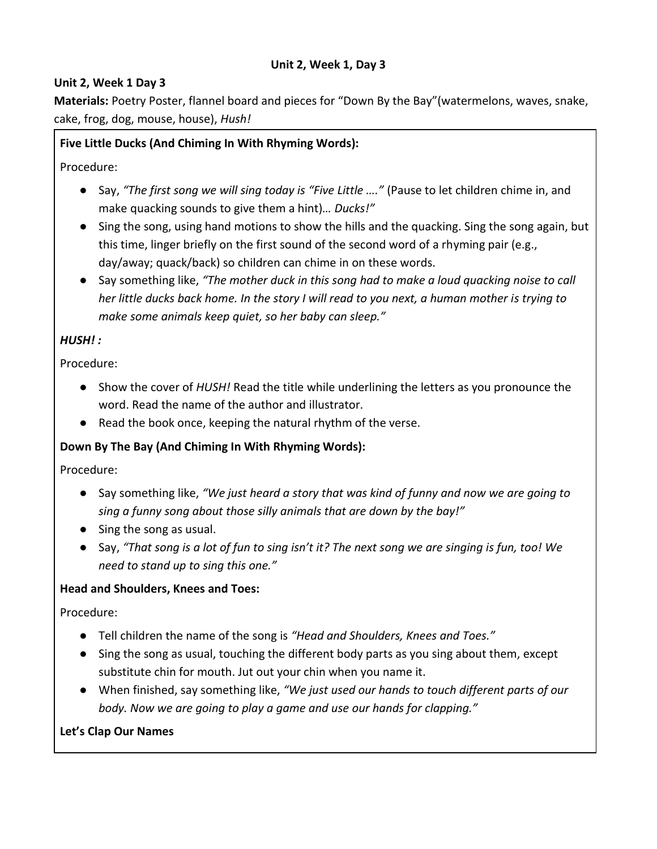#### **Unit 2, Week 1, Day 3**

### **Unit 2, Week 1 Day 3**

**Materials:** Poetry Poster, flannel board and pieces for "Down By the Bay"(watermelons, waves, snake, cake, frog, dog, mouse, house), *Hush!*

### **Five Little Ducks (And Chiming In With Rhyming Words):**

Procedure:

- Say, *"The first song we will sing today is "Five Little …."* (Pause to let children chime in, and make quacking sounds to give them a hint)*… Ducks!"*
- Sing the song, using hand motions to show the hills and the quacking. Sing the song again, but this time, linger briefly on the first sound of the second word of a rhyming pair (e.g., day/away; quack/back) so children can chime in on these words.
- Say something like, *"The mother duck in this song had to make a loud quacking noise to call her little ducks back home. In the story I will read to you next, a human mother is trying to make some animals keep quiet, so her baby can sleep."*

# *HUSH! :*

Procedure:

- Show the cover of *HUSH!* Read the title while underlining the letters as you pronounce the word. Read the name of the author and illustrator.
- Read the book once, keeping the natural rhythm of the verse.

# **Down By The Bay (And Chiming In With Rhyming Words):**

Procedure:

- Say something like, *"We just heard a story that was kind of funny and now we are going to sing a funny song about those silly animals that are down by the bay!"*
- Sing the song as usual.
- Say, *"That song is a lot of fun to sing isn't it? The next song we are singing is fun, too! We need to stand up to sing this one."*

#### **Head and Shoulders, Knees and Toes:**

Procedure:

- Tell children the name of the song is *"Head and Shoulders, Knees and Toes."*
- Sing the song as usual, touching the different body parts as you sing about them, except substitute chin for mouth. Jut out your chin when you name it.
- When finished, say something like, *"We just used our hands to touch different parts of our body. Now we are going to play a game and use our hands for clapping."*

#### **Let's Clap Our Names**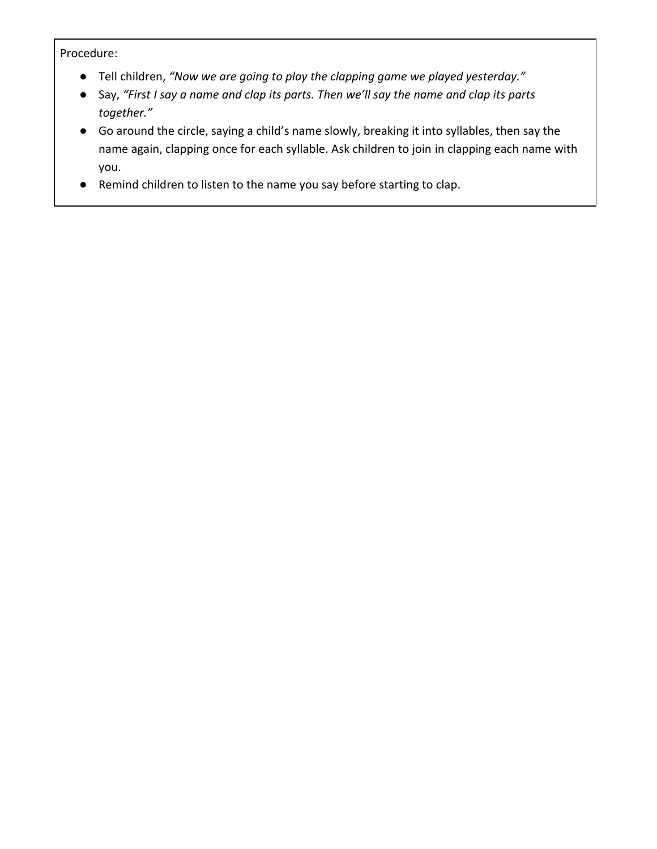- Tell children, *"Now we are going to play the clapping game we played yesterday."*
- Say, *"First I say a name and clap its parts. Then we'll say the name and clap its parts together."*
- Go around the circle, saying a child's name slowly, breaking it into syllables, then say the name again, clapping once for each syllable. Ask children to join in clapping each name with you.
- Remind children to listen to the name you say before starting to clap.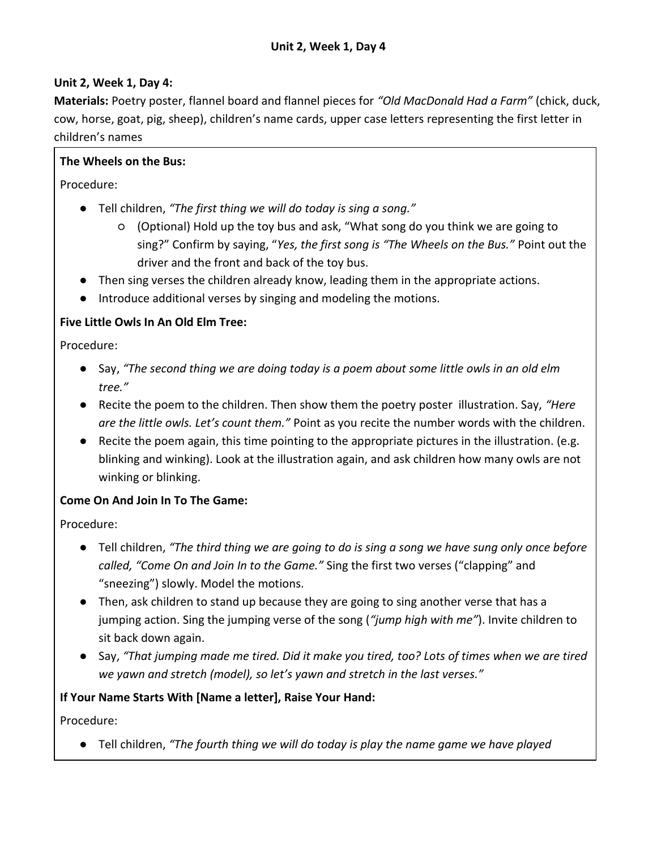# **Unit 2, Week 1, Day 4:**

**Materials:** Poetry poster, flannel board and flannel pieces for *"Old MacDonald Had a Farm"* (chick, duck, cow, horse, goat, pig, sheep), children's name cards, upper case letters representing the first letter in children's names

### **The Wheels on the Bus:**

Procedure:

- Tell children, *"The first thing we will do today is sing a song."*
	- (Optional) Hold up the toy bus and ask, "What song do you think we are going to sing?" Confirm by saying, "*Yes, the first song is "The Wheels on the Bus."* Point out the driver and the front and back of the toy bus.
- Then sing verses the children already know, leading them in the appropriate actions.
- Introduce additional verses by singing and modeling the motions.

### **Five Little Owls In An Old Elm Tree:**

Procedure:

- Say, *"The second thing we are doing today is a poem about some little owls in an old elm tree."*
- Recite the poem to the children. Then show them the poetry poster illustration. Say, *"Here are the little owls. Let's count them."* Point as you recite the number words with the children.
- Recite the poem again, this time pointing to the appropriate pictures in the illustration. (e.g. blinking and winking). Look at the illustration again, and ask children how many owls are not winking or blinking.

# **Come On And Join In To The Game:**

Procedure:

- Tell children, *"The third thing we are going to do is sing a song we have sung only once before called, "Come On and Join In to the Game."* Sing the first two verses ("clapping" and "sneezing") slowly. Model the motions.
- Then, ask children to stand up because they are going to sing another verse that has a jumping action. Sing the jumping verse of the song (*"jump high with me"*). Invite children to sit back down again.
- Say, *"That jumping made me tired. Did it make you tired, too? Lots of times when we are tired we yawn and stretch (model), so let's yawn and stretch in the last verses."*

#### **If Your Name Starts With [Name a letter], Raise Your Hand:**

Procedure:

● Tell children, *"The fourth thing we will do today is play the name game we have played*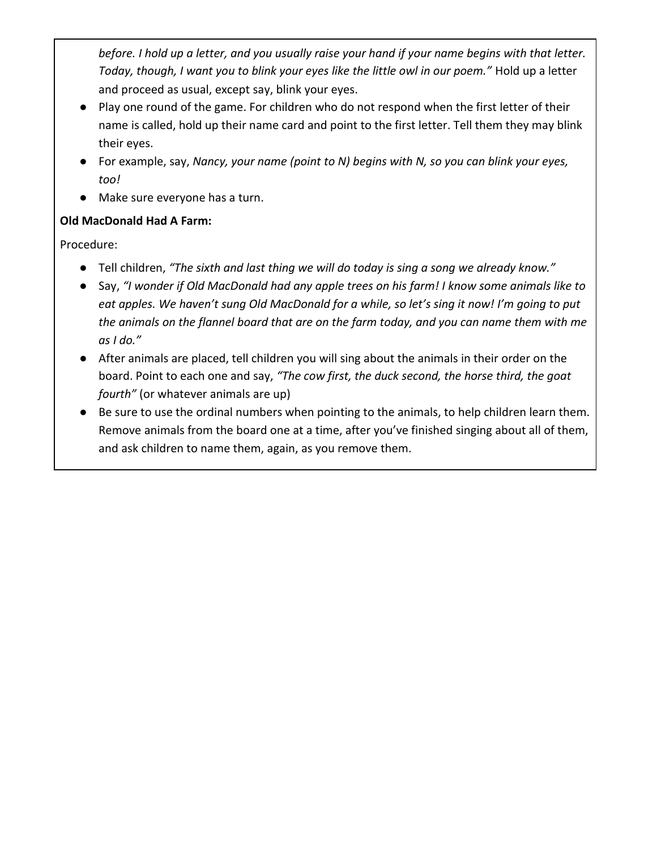*before. I hold up a letter, and you usually raise your hand if your name begins with that letter. Today, though, I want you to blink your eyes like the little owl in our poem."* Hold up a letter and proceed as usual, except say, blink your eyes.

- Play one round of the game. For children who do not respond when the first letter of their name is called, hold up their name card and point to the first letter. Tell them they may blink their eyes.
- For example, say, *Nancy, your name (point to N) begins with N, so you can blink your eyes, too!*
- Make sure everyone has a turn.

# **Old MacDonald Had A Farm:**

- Tell children, *"The sixth and last thing we will do today is sing a song we already know."*
- Say, *"I wonder if Old MacDonald had any apple trees on his farm! I know some animals like to eat apples. We haven't sung Old MacDonald for a while, so let's sing it now! I'm going to put the animals on the flannel board that are on the farm today, and you can name them with me as I do."*
- After animals are placed, tell children you will sing about the animals in their order on the board. Point to each one and say, *"The cow first, the duck second, the horse third, the goat fourth"* (or whatever animals are up)
- Be sure to use the ordinal numbers when pointing to the animals, to help children learn them. Remove animals from the board one at a time, after you've finished singing about all of them, and ask children to name them, again, as you remove them.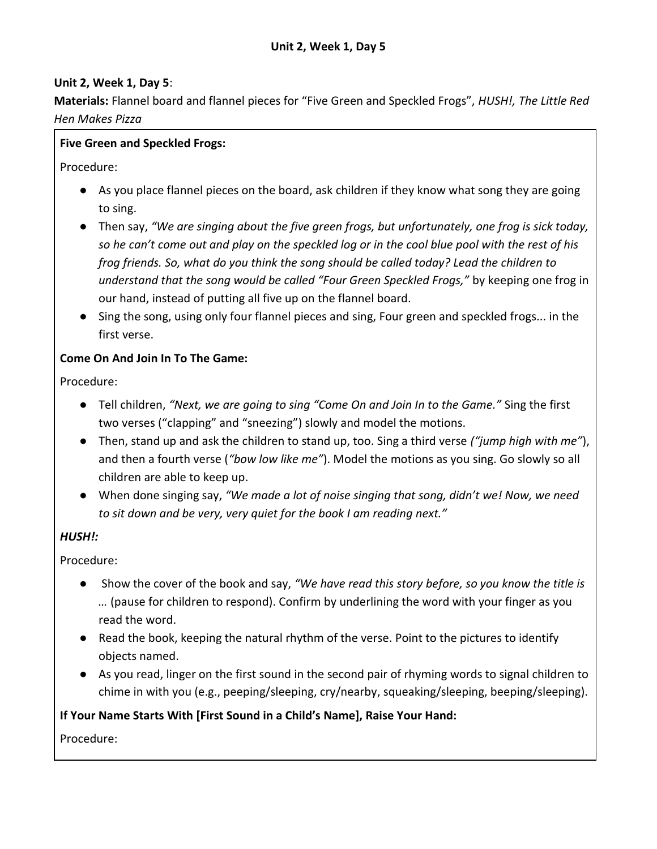### **Unit 2, Week 1, Day 5**:

**Materials:** Flannel board and flannel pieces for "Five Green and Speckled Frogs", *HUSH!, The Little Red Hen Makes Pizza*

### **Five Green and Speckled Frogs:**

Procedure:

- As you place flannel pieces on the board, ask children if they know what song they are going to sing.
- Then say, *"We are singing about the five green frogs, but unfortunately, one frog is sick today, so he can't come out and play on the speckled log or in the cool blue pool with the rest of his frog friends. So, what do you think the song should be called today? Lead the children to understand that the song would be called "Four Green Speckled Frogs,"* by keeping one frog in our hand, instead of putting all five up on the flannel board.
- Sing the song, using only four flannel pieces and sing, Four green and speckled frogs... in the first verse.

### **Come On And Join In To The Game:**

Procedure:

- Tell children, *"Next, we are going to sing "Come On and Join In to the Game."* Sing the first two verses ("clapping" and "sneezing") slowly and model the motions.
- Then, stand up and ask the children to stand up, too. Sing a third verse *("jump high with me"*), and then a fourth verse (*"bow low like me"*). Model the motions as you sing. Go slowly so all children are able to keep up.
- When done singing say, *"We made a lot of noise singing that song, didn't we! Now, we need to sit down and be very, very quiet for the book I am reading next."*

# *HUSH!:*

Procedure:

- Show the cover of the book and say, *"We have read this story before, so you know the title is …* (pause for children to respond). Confirm by underlining the word with your finger as you read the word.
- Read the book, keeping the natural rhythm of the verse. Point to the pictures to identify objects named.
- As you read, linger on the first sound in the second pair of rhyming words to signal children to chime in with you (e.g., peeping/sleeping, cry/nearby, squeaking/sleeping, beeping/sleeping).

# **If Your Name Starts With [First Sound in a Child's Name], Raise Your Hand:**